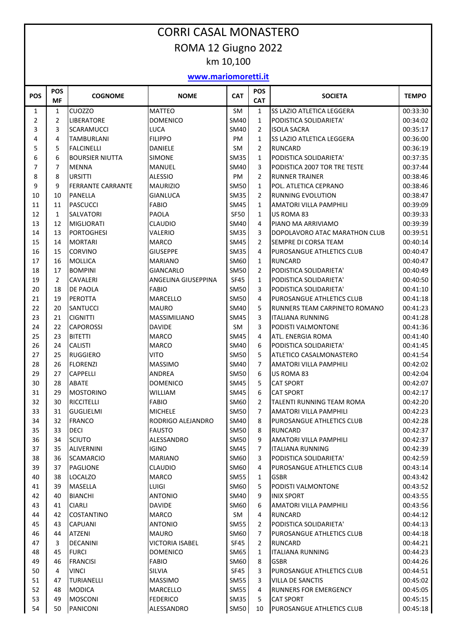## CORRI CASAL MONASTERO ROMA 12 Giugno 2022 km 10,100

## **www.mariomoretti.it**

| POS            | <b>POS</b><br><b>MF</b> | <b>COGNOME</b>           | <b>NOME</b>            | <b>CAT</b>  | POS<br><b>CAT</b> | <b>SOCIETA</b>                   | <b>TEMPO</b> |
|----------------|-------------------------|--------------------------|------------------------|-------------|-------------------|----------------------------------|--------------|
| 1              | $\mathbf{1}$            | <b>CUOZZO</b>            | <b>MATTEO</b>          | <b>SM</b>   | $\mathbf{1}$      | SS LAZIO ATLETICA LEGGERA        | 00:33:30     |
| $\overline{2}$ | $\overline{2}$          | <b>LIBERATORE</b>        | <b>DOMENICO</b>        | SM40        | $\mathbf{1}$      | PODISTICA SOLIDARIETA'           | 00:34:02     |
| 3              | 3                       | <b>SCARAMUCCI</b>        | LUCA                   | <b>SM40</b> | $\overline{2}$    | <b>ISOLA SACRA</b>               | 00:35:17     |
| 4              | 4                       | <b>TAMBURLANI</b>        | <b>FILIPPO</b>         | PM          | $\mathbf{1}$      | SS LAZIO ATLETICA LEGGERA        | 00:36:00     |
| 5              | 5                       | <b>FALCINELLI</b>        | <b>DANIELE</b>         | <b>SM</b>   | $\overline{2}$    | <b>RUNCARD</b>                   | 00:36:19     |
| 6              | 6                       | <b>BOURSIER NIUTTA</b>   | <b>SIMONE</b>          | <b>SM35</b> | $\mathbf{1}$      | PODISTICA SOLIDARIETA'           | 00:37:35     |
| 7              | 7                       | <b>MENNA</b>             | <b>MANUEL</b>          | SM40        | 3                 | PODISTICA 2007 TOR TRE TESTE     | 00:37:44     |
| 8              | 8                       | <b>URSITTI</b>           | <b>ALESSIO</b>         | PM          | $\overline{2}$    | <b>RUNNER TRAINER</b>            | 00:38:46     |
| 9              | 9                       | <b>FERRANTE CARRANTE</b> | <b>MAURIZIO</b>        | <b>SM50</b> | $\mathbf{1}$      | POL. ATLETICA CEPRANO            | 00:38:46     |
| 10             | 10                      | PANELLA                  | <b>GIANLUCA</b>        | <b>SM35</b> | $\overline{2}$    | <b>RUNNING EVOLUTION</b>         | 00:38:47     |
| 11             | 11                      | <b>PASCUCCI</b>          | <b>FABIO</b>           | <b>SM45</b> | $\mathbf{1}$      | AMATORI VILLA PAMPHILI           | 00:39:09     |
| 12             | $\mathbf{1}$            | <b>SALVATORI</b>         | <b>PAOLA</b>           | <b>SF50</b> | $\mathbf{1}$      | US ROMA 83                       | 00:39:33     |
| 13             | 12                      | <b>MIGLIORATI</b>        | <b>CLAUDIO</b>         | <b>SM40</b> | 4                 | PIANO MA ARRIVIAMO               | 00:39:39     |
| 14             | 13                      | <b>PORTOGHESI</b>        | VALERIO                | <b>SM35</b> | 3                 | DOPOLAVORO ATAC MARATHON CLUB    | 00:39:51     |
| 15             | 14                      | <b>MORTARI</b>           | <b>MARCO</b>           | <b>SM45</b> | $\overline{2}$    | SEMPRE DI CORSA TEAM             | 00:40:14     |
| 16             | 15                      | <b>CORVINO</b>           | <b>GIUSEPPE</b>        | <b>SM35</b> | 4                 | PUROSANGUE ATHLETICS CLUB        | 00:40:47     |
| 17             | 16                      | <b>MOLLICA</b>           | MARIANO                | SM60        | $\mathbf{1}$      | <b>RUNCARD</b>                   | 00:40:47     |
| 18             | 17                      | <b>BOMPINI</b>           | <b>GIANCARLO</b>       | <b>SM50</b> | $\overline{2}$    | PODISTICA SOLIDARIETA'           | 00:40:49     |
| 19             | $\overline{2}$          | <b>CAVALERI</b>          | ANGELINA GIUSEPPINA    | <b>SF45</b> | $\mathbf{1}$      | PODISTICA SOLIDARIETA'           | 00:40:50     |
| 20             | 18                      | <b>DE PAOLA</b>          | <b>FABIO</b>           | <b>SM50</b> | 3                 | PODISTICA SOLIDARIETA'           | 00:41:10     |
| 21             | 19                      | <b>PEROTTA</b>           | <b>MARCELLO</b>        | <b>SM50</b> | 4                 | PUROSANGUE ATHLETICS CLUB        | 00:41:18     |
| 22             | 20                      | <b>SANTUCCI</b>          | <b>MAURO</b>           | SM40        | 5                 | RUNNERS TEAM CARPINETO ROMANO    | 00:41:23     |
| 23             | 21                      | <b>CIGNITTI</b>          | <b>MASSIMILIANO</b>    | SM45        | 3                 | ITALIANA RUNNING                 | 00:41:28     |
| 24             | 22                      | <b>CAPOROSSI</b>         | <b>DAVIDE</b>          | SM          | 3                 | PODISTI VALMONTONE               | 00:41:36     |
| 25             | 23                      | <b>BITETTI</b>           | <b>MARCO</b>           | <b>SM45</b> | 4                 | ATL. ENERGIA ROMA                | 00:41:40     |
| 26             | 24                      | <b>CALISTI</b>           | <b>MARCO</b>           | SM40        | 6                 | PODISTICA SOLIDARIETA'           | 00:41:45     |
| 27             | 25                      | <b>RUGGIERO</b>          | <b>VITO</b>            | <b>SM50</b> | 5                 | ATLETICO CASALMONASTERO          | 00:41:54     |
| 28             | 26                      | <b>FLORENZI</b>          | <b>MASSIMO</b>         | SM40        | $\overline{7}$    | AMATORI VILLA PAMPHILI           | 00:42:02     |
| 29             | 27                      | <b>CAPPELLI</b>          | ANDREA                 | <b>SM50</b> | 6                 | US ROMA 83                       | 00:42:04     |
| 30             | 28                      | <b>ABATE</b>             | <b>DOMENICO</b>        | <b>SM45</b> | 5                 | <b>CAT SPORT</b>                 | 00:42:07     |
| 31             | 29                      | <b>MOSTORINO</b>         | <b>WILLIAM</b>         | <b>SM45</b> | 6                 | <b>CAT SPORT</b>                 | 00:42:17     |
| 32             | 30                      | <b>RICCITELLI</b>        | <b>FABIO</b>           | SM60        | $\overline{2}$    | <b>TALENTI RUNNING TEAM ROMA</b> | 00:42:20     |
| 33             | 31                      | GUGLIELMI                | <b>MICHELE</b>         | <b>SM50</b> | $\overline{7}$    | <b>AMATORI VILLA PAMPHILI</b>    | 00:42:23     |
| 34             | 32                      | <b>FRANCO</b>            | RODRIGO ALEJANDRO      | SM40        | 8                 | PUROSANGUE ATHLETICS CLUB        | 00:42:28     |
| 35             | 33                      | <b>DECI</b>              | <b>FAUSTO</b>          | <b>SM50</b> | 8                 | <b>RUNCARD</b>                   | 00:42:37     |
| 36             | 34                      | <b>SCIUTO</b>            | ALESSANDRO             | <b>SM50</b> | 9                 | AMATORI VILLA PAMPHILI           | 00:42:37     |
| 37             | 35                      | <b>ALIVERNINI</b>        | <b>IGINO</b>           | SM45        | $\overline{7}$    | <b>ITALIANA RUNNING</b>          | 00:42:39     |
| 38             | 36                      | <b>SCAMARCIO</b>         | <b>MARIANO</b>         | SM60        | 3                 | PODISTICA SOLIDARIETA'           | 00:42:59     |
| 39             | 37                      | <b>PAGLIONE</b>          | <b>CLAUDIO</b>         | SM60        | 4                 | PUROSANGUE ATHLETICS CLUB        | 00:43:14     |
| 40             | 38                      | <b>LOCALZO</b>           | <b>MARCO</b>           | <b>SM55</b> | $\mathbf{1}$      | <b>GSBR</b>                      | 00:43:42     |
| 41             | 39                      | <b>MASELLA</b>           | LUIGI                  | SM60        | 5                 | PODISTI VALMONTONE               | 00:43:52     |
| 42             | 40                      | <b>BIANCHI</b>           | <b>ANTONIO</b>         | SM40        | 9                 | <b>INIX SPORT</b>                | 00:43:55     |
| 43             | 41                      | <b>CIARLI</b>            | DAVIDE                 | SM60        | 6                 | AMATORI VILLA PAMPHILI           | 00:43:56     |
| 44             | 42                      | <b>COSTANTINO</b>        | <b>MARCO</b>           | SM          | 4                 | RUNCARD                          | 00:44:12     |
| 45             | 43                      | <b>CAPUANI</b>           | <b>ANTONIO</b>         | <b>SM55</b> | $\overline{2}$    | PODISTICA SOLIDARIETA'           | 00:44:13     |
| 46             | 44                      | <b>ATZENI</b>            | <b>MAURO</b>           | SM60        | 7                 | PUROSANGUE ATHLETICS CLUB        | 00:44:18     |
| 47             | 3                       | <b>DECANINI</b>          | <b>VICTORIA ISABEL</b> | SF45        | $\overline{2}$    | <b>RUNCARD</b>                   | 00:44:21     |
| 48             | 45                      | <b>FURCI</b>             | <b>DOMENICO</b>        | SM65        | $\mathbf{1}$      | <b>ITALIANA RUNNING</b>          | 00:44:23     |
| 49             | 46                      | <b>FRANCISI</b>          | <b>FABIO</b>           | SM60        | 8                 | <b>GSBR</b>                      | 00:44:26     |
| 50             | 4                       | <b>VINCI</b>             | SILVIA                 | SF45        | 3                 | PUROSANGUE ATHLETICS CLUB        | 00:44:51     |
| 51             | 47                      | <b>TURIANELLI</b>        | <b>MASSIMO</b>         | <b>SM55</b> | 3                 | VILLA DE SANCTIS                 | 00:45:02     |
| 52             | 48                      | MODICA                   | MARCELLO               | <b>SM55</b> | 4                 | RUNNERS FOR EMERGENCY            | 00:45:05     |
| 53             | 49                      | <b>MOSCONI</b>           | <b>FEDERICO</b>        | <b>SM35</b> | 5                 | <b>CAT SPORT</b>                 | 00:45:15     |
| 54             | 50                      | <b>PANICONI</b>          | ALESSANDRO             | <b>SM50</b> | 10                | PUROSANGUE ATHLETICS CLUB        | 00:45:18     |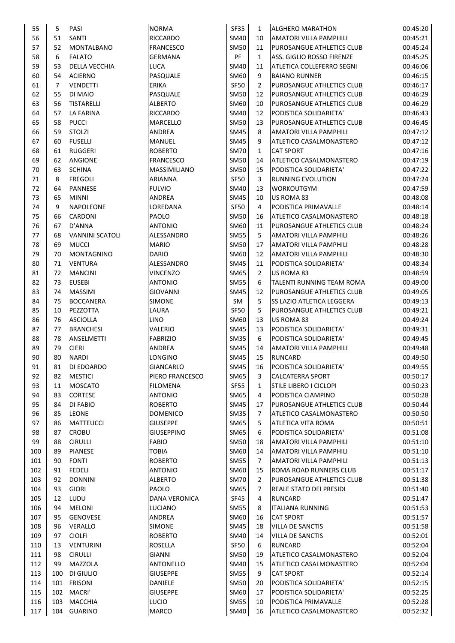| 55  | 5              | PASI                   | <b>NORMA</b>         | <b>SF35</b> | $\mathbf{1}$   | <b>ALGHERO MARATHON</b>          | 00:45:20 |
|-----|----------------|------------------------|----------------------|-------------|----------------|----------------------------------|----------|
| 56  | 51             | <b>SANTI</b>           | RICCARDO             | SM40        | 10             | AMATORI VILLA PAMPHILI           | 00:45:21 |
| 57  | 52             | <b>MONTALBANO</b>      | <b>FRANCESCO</b>     | <b>SM50</b> | 11             | PUROSANGUE ATHLETICS CLUB        | 00:45:24 |
| 58  | 6              | <b>FALATO</b>          | <b>GERMANA</b>       | <b>PF</b>   | $\mathbf{1}$   | ASS. GIGLIO ROSSO FIRENZE        | 00:45:25 |
| 59  | 53             | <b>DELLA VECCHIA</b>   | LUCA                 | SM40        | 11             | ATLETICA COLLEFERRO SEGNI        | 00:46:06 |
| 60  | 54             | <b>ACIERNO</b>         | PASQUALE             | SM60        | 9              | <b>BAIANO RUNNER</b>             | 00:46:15 |
| 61  | $\overline{7}$ | <b>VENDETTI</b>        | <b>ERIKA</b>         | <b>SF50</b> | $\overline{2}$ | PUROSANGUE ATHLETICS CLUB        | 00:46:17 |
|     |                |                        |                      |             |                |                                  |          |
| 62  | 55             | DI MAIO                | PASQUALE             | <b>SM50</b> | 12             | PUROSANGUE ATHLETICS CLUB        | 00:46:29 |
| 63  | 56             | <b>TISTARELLI</b>      | <b>ALBERTO</b>       | SM60        | 10             | PUROSANGUE ATHLETICS CLUB        | 00:46:29 |
| 64  | 57             | <b>LA FARINA</b>       | RICCARDO             | <b>SM40</b> | 12             | PODISTICA SOLIDARIETA'           | 00:46:43 |
| 65  | 58             | <b>PUCCI</b>           | MARCELLO             | <b>SM50</b> | 13             | <b>PUROSANGUE ATHLETICS CLUB</b> | 00:46:45 |
| 66  | 59             | <b>STOLZI</b>          | <b>ANDREA</b>        | <b>SM45</b> | 8              | <b>AMATORI VILLA PAMPHILI</b>    | 00:47:12 |
| 67  | 60             | <b>FUSELLI</b>         | MANUEL               | SM45        | 9              | ATLETICO CASALMONASTERO          | 00:47:12 |
| 68  | 61             | <b>RUGGERI</b>         | <b>ROBERTO</b>       | <b>SM70</b> | $\mathbf{1}$   | <b>CAT SPORT</b>                 | 00:47:16 |
| 69  | 62             | <b>ANGIONE</b>         | <b>FRANCESCO</b>     | <b>SM50</b> | 14             | ATLETICO CASALMONASTERO          | 00:47:19 |
| 70  | 63             | <b>SCHINA</b>          | MASSIMILIANO         | <b>SM50</b> | 15             | PODISTICA SOLIDARIETA'           | 00:47:22 |
|     |                |                        |                      |             |                | <b>RUNNING EVOLUTION</b>         |          |
| 71  | 8              | <b>FREGOLI</b>         | ARIANNA              | <b>SF50</b> | 3              |                                  | 00:47:24 |
| 72  | 64             | <b>PANNESE</b>         | <b>FULVIO</b>        | SM40        | 13             | <b>WORKOUTGYM</b>                | 00:47:59 |
| 73  | 65             | <b>MINNI</b>           | ANDREA               | <b>SM45</b> | 10             | US ROMA 83                       | 00:48:08 |
| 74  | 9              | <b>NAPOLEONE</b>       | LOREDANA             | <b>SF50</b> | 4              | PODISTICA PRIMAVALLE             | 00:48:14 |
| 75  | 66             | <b>CARDONI</b>         | PAOLO                | <b>SM50</b> | 16             | ATLETICO CASALMONASTERO          | 00:48:18 |
| 76  | 67             | D'ANNA                 | <b>ANTONIO</b>       | SM60        | 11             | PUROSANGUE ATHLETICS CLUB        | 00:48:24 |
| 77  | 68             | <b>VANNINI SCATOLI</b> | ALESSANDRO           | <b>SM55</b> | 5              | <b>AMATORI VILLA PAMPHILI</b>    | 00:48:26 |
| 78  | 69             | <b>MUCCI</b>           | <b>MARIO</b>         | <b>SM50</b> | 17             | <b>AMATORI VILLA PAMPHILI</b>    | 00:48:28 |
| 79  |                | <b>MONTAGNINO</b>      | <b>DARIO</b>         | SM60        |                | <b>AMATORI VILLA PAMPHILI</b>    | 00:48:30 |
|     | 70             |                        |                      |             | 12             |                                  |          |
| 80  | 71             | <b>VENTURA</b>         | ALESSANDRO           | <b>SM45</b> | 11             | PODISTICA SOLIDARIETA'           | 00:48:34 |
| 81  | 72             | <b>MANCINI</b>         | <b>VINCENZO</b>      | SM65        | $\overline{2}$ | US ROMA 83                       | 00:48:59 |
| 82  | 73             | <b>EUSEBI</b>          | <b>ANTONIO</b>       | <b>SM55</b> | 6              | TALENTI RUNNING TEAM ROMA        | 00:49:00 |
| 83  | 74             | <b>MASSIMI</b>         | GIOVANNI             | SM45        | 12             | PUROSANGUE ATHLETICS CLUB        | 00:49:05 |
| 84  | 75             | <b>BOCCANERA</b>       | <b>SIMONE</b>        | SM          | 5              | <b>SS LAZIO ATLETICA LEGGERA</b> | 00:49:13 |
| 85  | 10             | PEZZOTTA               | LAURA                | <b>SF50</b> | 5              | PUROSANGUE ATHLETICS CLUB        | 00:49:21 |
| 86  | 76             | <b>ASCIOLLA</b>        | LINO                 | SM60        | 13             | US ROMA 83                       | 00:49:24 |
| 87  | 77             | <b>BRANCHESI</b>       | VALERIO              | <b>SM45</b> | 13             | PODISTICA SOLIDARIETA'           | 00:49:31 |
| 88  | 78             |                        | <b>FABRIZIO</b>      | <b>SM35</b> | 6              | PODISTICA SOLIDARIETA'           |          |
|     |                | ANSELMETTI             |                      |             |                |                                  | 00:49:45 |
| 89  | 79             | <b>CIERI</b>           | <b>ANDREA</b>        | <b>SM45</b> | 14             | <b>AMATORI VILLA PAMPHILI</b>    | 00:49:48 |
| 90  | 80             | <b>NARDI</b>           | LONGINO              | <b>SM45</b> | 15             | <b>RUNCARD</b>                   | 00:49:50 |
| 91  | 81             | DI EDOARDO             | GIANCARLO            | <b>SM45</b> | 16             | PODISTICA SOLIDARIETA'           | 00:49:55 |
| 92  | 82             | <b>MESTICI</b>         | PIERO FRANCESCO      | <b>SM65</b> | 3              | <b>CALCATERRA SPORT</b>          | 00:50:17 |
| 93  | 11             | <b>MOSCATO</b>         | <b>FILOMENA</b>      | <b>SF55</b> | $\mathbf{1}$   | <b>STILE LIBERO I CICLOPI</b>    | 00:50:23 |
| 94  | 83             | <b>CORTESE</b>         | <b>ANTONIO</b>       | <b>SM65</b> | 4              | PODISTICA CIAMPINO               | 00:50:28 |
| 95  | 84             | DI FABIO               | <b>ROBERTO</b>       | <b>SM45</b> | 17             | PUROSANGUE ATHLETICS CLUB        | 00:50:44 |
| 96  | 85             | <b>LEONE</b>           | <b>DOMENICO</b>      | <b>SM35</b> | 7              | ATLETICO CASALMONASTERO          | 00:50:50 |
|     |                |                        | <b>GIUSEPPE</b>      |             |                |                                  | 00:50:51 |
| 97  | 86             | <b>MATTEUCCI</b>       |                      | SM65        | 5              | ATLETICA VITA ROMA               |          |
| 98  | 87             | <b>CROBU</b>           | <b>GIUSEPPINO</b>    | SM65        | 6              | PODISTICA SOLIDARIETA'           | 00:51:08 |
| 99  | 88             | <b>CIRULLI</b>         | <b>FABIO</b>         | <b>SM50</b> | 18             | AMATORI VILLA PAMPHILI           | 00:51:10 |
| 100 | 89             | <b>PIANESE</b>         | <b>TOBIA</b>         | SM60        | 14             | AMATORI VILLA PAMPHILI           | 00:51:10 |
| 101 | 90             | <b>FONTI</b>           | <b>ROBERTO</b>       | <b>SM55</b> | 7              | <b>AMATORI VILLA PAMPHILI</b>    | 00:51:13 |
| 102 | 91             | <b>FEDELI</b>          | <b>ANTONIO</b>       | SM60        | 15             | ROMA ROAD RUNNERS CLUB           | 00:51:17 |
| 103 | 92             | <b>DONNINI</b>         | <b>ALBERTO</b>       | <b>SM70</b> | $\overline{2}$ | PUROSANGUE ATHLETICS CLUB        | 00:51:38 |
| 104 | 93             | <b>GIORI</b>           | PAOLO                | SM65        | 7              | <b>REALE STATO DEI PRESIDI</b>   | 00:51:40 |
| 105 | 12             | LUDU                   | <b>DANA VERONICA</b> | <b>SF45</b> | 4              | <b>RUNCARD</b>                   | 00:51:47 |
| 106 | 94             | <b>MELONI</b>          | <b>LUCIANO</b>       | <b>SM55</b> | 8              | <b>ITALIANA RUNNING</b>          | 00:51:53 |
|     |                |                        |                      |             |                |                                  |          |
| 107 | 95             | <b>GENOVESE</b>        | ANDREA               | SM60        | 16             | <b>CAT SPORT</b>                 | 00:51:57 |
| 108 | 96             | VERALLO                | <b>SIMONE</b>        | SM45        | 18             | <b>VILLA DE SANCTIS</b>          | 00:51:58 |
| 109 | 97             | <b>CIOLFI</b>          | <b>ROBERTO</b>       | SM40        | 14             | <b>VILLA DE SANCTIS</b>          | 00:52:01 |
| 110 | 13             | <b>VENTURINI</b>       | <b>ROSELLA</b>       | <b>SF50</b> | 6              | <b>RUNCARD</b>                   | 00:52:04 |
| 111 | 98             | <b>CIRULLI</b>         | <b>GIANNI</b>        | <b>SM50</b> | 19             | ATLETICO CASALMONASTERO          | 00:52:04 |
| 112 | 99             | <b>MAZZOLA</b>         | <b>ANTONELLO</b>     | SM40        | 15             | ATLETICO CASALMONASTERO          | 00:52:04 |
| 113 | 100            | DI GIULIO              | <b>GIUSEPPE</b>      | <b>SM55</b> | 9              | <b>CAT SPORT</b>                 | 00:52:14 |
| 114 | 101            | <b>FRISONI</b>         | DANIELE              | <b>SM50</b> | 20             | PODISTICA SOLIDARIETA'           | 00:52:15 |
| 115 |                |                        |                      |             | 17             | PODISTICA SOLIDARIETA'           |          |
|     | 102            | MACRI'                 | <b>GIUSEPPE</b>      | SM60        |                |                                  | 00:52:25 |
| 116 | 103            | <b>MACCHIA</b>         | <b>LUCIO</b>         | <b>SM55</b> | 10             | PODISTICA PRIMAVALLE             | 00:52:28 |
| 117 | 104            | <b>GUARINO</b>         | <b>MARCO</b>         | <b>SM40</b> | 16             | ATLETICO CASALMONASTERO          | 00:52:32 |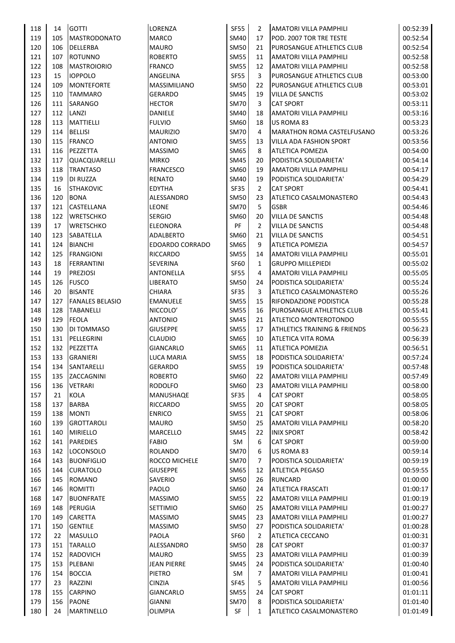| 118 | 14  | <b>GOTTI</b>           | LORENZA                | <b>SF55</b> | 2              | <b>AMATORI VILLA PAMPHILI</b>           | 00:52:39 |
|-----|-----|------------------------|------------------------|-------------|----------------|-----------------------------------------|----------|
| 119 | 105 | MASTRODONATO           | <b>MARCO</b>           | SM40        | 17             | POD. 2007 TOR TRE TESTE                 | 00:52:54 |
| 120 | 106 | DELLERBA               | <b>MAURO</b>           | <b>SM50</b> | 21             | PUROSANGUE ATHLETICS CLUB               | 00:52:54 |
| 121 | 107 | <b>ROTUNNO</b>         | <b>ROBERTO</b>         | <b>SM55</b> | 11             | AMATORI VILLA PAMPHILI                  | 00:52:58 |
| 122 | 108 | <b>MASTROIORIO</b>     | <b>FRANCO</b>          | <b>SM55</b> | 12             | <b>AMATORI VILLA PAMPHILI</b>           | 00:52:58 |
| 123 | 15  | <b>IOPPOLO</b>         | ANGELINA               | <b>SF55</b> | 3              | PUROSANGUE ATHLETICS CLUB               | 00:53:00 |
| 124 | 109 | <b>MONTEFORTE</b>      | <b>MASSIMILIANO</b>    | <b>SM50</b> | 22             | <b>PUROSANGUE ATHLETICS CLUB</b>        | 00:53:01 |
| 125 | 110 | <b>TAMMARO</b>         | <b>GERARDO</b>         | <b>SM45</b> | 19             | <b>VILLA DE SANCTIS</b>                 | 00:53:02 |
|     |     |                        |                        |             |                |                                         |          |
| 126 | 111 | SARANGO                | <b>HECTOR</b>          | <b>SM70</b> | 3              | <b>CAT SPORT</b>                        | 00:53:11 |
| 127 | 112 | LANZI                  | DANIELE                | <b>SM40</b> | 18             | AMATORI VILLA PAMPHILI                  | 00:53:16 |
| 128 | 113 | <b>MATTIELLI</b>       | <b>FULVIO</b>          | SM60        | 18             | US ROMA 83                              | 00:53:23 |
| 129 | 114 | <b>BELLISI</b>         | <b>MAURIZIO</b>        | <b>SM70</b> | 4              | <b>MARATHON ROMA CASTELFUSANO</b>       | 00:53:26 |
| 130 | 115 | <b>FRANCO</b>          | <b>ANTONIO</b>         | <b>SM55</b> | 13             | <b>VILLA ADA FASHION SPORT</b>          | 00:53:56 |
| 131 | 116 | PEZZETTA               | <b>MASSIMO</b>         | <b>SM65</b> | 8              | <b>ATLETICA POMEZIA</b>                 | 00:54:00 |
| 132 | 117 | QUACQUARELLI           | <b>MIRKO</b>           | <b>SM45</b> | 20             | PODISTICA SOLIDARIETA'                  | 00:54:14 |
| 133 | 118 | <b>TRANTASO</b>        | <b>FRANCESCO</b>       | SM60        | 19             | AMATORI VILLA PAMPHILI                  | 00:54:17 |
| 134 | 119 | <b>DI RUZZA</b>        | <b>RENATO</b>          | SM40        | 19             | PODISTICA SOLIDARIETA'                  | 00:54:29 |
| 135 | 16  | <b>STHAKOVIC</b>       | <b>EDYTHA</b>          | <b>SF35</b> | $\overline{2}$ | <b>CAT SPORT</b>                        | 00:54:41 |
| 136 | 120 | <b>BONA</b>            | ALESSANDRO             | <b>SM50</b> | 23             | ATLETICO CASALMONASTERO                 | 00:54:43 |
| 137 | 121 | CASTELLANA             | <b>LEONE</b>           | <b>SM70</b> | 5              | GSBR                                    | 00:54:46 |
| 138 | 122 | <b>WRETSCHKO</b>       | <b>SERGIO</b>          | SM60        | 20             | <b>VILLA DE SANCTIS</b>                 | 00:54:48 |
| 139 | 17  | <b>WRETSCHKO</b>       | <b>ELEONORA</b>        | PF          | $\overline{2}$ | <b>VILLA DE SANCTIS</b>                 | 00:54:48 |
| 140 | 123 | <b>SABATELLA</b>       | ADALBERTO              | SM60        | 21             | <b>VILLA DE SANCTIS</b>                 | 00:54:51 |
| 141 | 124 | <b>BIANCHI</b>         | <b>EDOARDO CORRADO</b> | SM65        | 9              | <b>ATLETICA POMEZIA</b>                 | 00:54:57 |
|     |     |                        |                        |             |                |                                         |          |
| 142 | 125 | <b>FRANGIONI</b>       | <b>RICCARDO</b>        | <b>SM55</b> | 14             | <b>AMATORI VILLA PAMPHILI</b>           | 00:55:01 |
| 143 | 18  | <b>FERRANTINI</b>      | SEVERINA               | <b>SF60</b> | $\mathbf{1}$   | <b>GRUPPO MILLEPIEDI</b>                | 00:55:02 |
| 144 | 19  | <b>PREZIOSI</b>        | ANTONELLA              | <b>SF55</b> | 4              | <b>AMATORI VILLA PAMPHILI</b>           | 00:55:05 |
| 145 | 126 | <b>FUSCO</b>           | <b>LIBERATO</b>        | SM50        | 24             | PODISTICA SOLIDARIETA'                  | 00:55:24 |
| 146 | 20  | <b>BISANTE</b>         | <b>CHIARA</b>          | SF35        | 3              | ATLETICO CASALMONASTERO                 | 00:55:26 |
| 147 | 127 | <b>FANALES BELASIO</b> | <b>EMANUELE</b>        | <b>SM55</b> | 15             | RIFONDAZIONE PODISTICA                  | 00:55:28 |
| 148 | 128 | <b>TABANELLI</b>       | NICCOLO'               | <b>SM55</b> | 16             | PUROSANGUE ATHLETICS CLUB               | 00:55:41 |
| 149 | 129 | <b>FEOLA</b>           | <b>ANTONIO</b>         | <b>SM45</b> | 21             | <b>ATLETICO MONTEROTONDO</b>            | 00:55:55 |
| 150 | 130 | DI TOMMASO             | <b>GIUSEPPE</b>        | <b>SM55</b> | 17             | <b>ATHLETICS TRAINING &amp; FRIENDS</b> | 00:56:23 |
| 151 | 131 | PELLEGRINI             | <b>CLAUDIO</b>         | <b>SM65</b> | 10             | <b>ATLETICA VITA ROMA</b>               | 00:56:39 |
| 152 | 132 | PEZZETTA               | <b>GIANCARLO</b>       | <b>SM65</b> | 11             | <b>ATLETICA POMEZIA</b>                 | 00:56:51 |
| 153 | 133 | <b>GRANIERI</b>        | LUCA MARIA             | <b>SM55</b> | 18             | PODISTICA SOLIDARIETA'                  | 00:57:24 |
| 154 | 134 | SANTARELLI             | GERARDO                | SM55        | 19             | PODISTICA SOLIDARIETA'                  | 00:57:48 |
| 155 | 135 | ZACCAGNINI             | <b>ROBERTO</b>         | SM60        | 22             | AMATORI VILLA PAMPHILI                  | 00:57:49 |
| 156 | 136 | <b>VETRARI</b>         | <b>RODOLFO</b>         | SM60        | 23             | AMATORI VILLA PAMPHILI                  | 00:58:00 |
| 157 | 21  | KOLA                   | MANUSHAQE              | SF35        | 4              | <b>CAT SPORT</b>                        | 00:58:05 |
| 158 | 137 | BARBA                  | RICCARDO               | <b>SM55</b> | 20             | <b>CAT SPORT</b>                        | 00:58:05 |
| 159 | 138 | <b>MONTI</b>           | <b>ENRICO</b>          | <b>SM55</b> | 21             | <b>CAT SPORT</b>                        | 00:58:06 |
|     |     |                        |                        |             |                |                                         |          |
| 160 | 139 | <b>GROTTAROLI</b>      | <b>MAURO</b>           | <b>SM50</b> | 25             | AMATORI VILLA PAMPHILI                  | 00:58:20 |
| 161 | 140 | <b>MIRIELLO</b>        | MARCELLO               | <b>SM45</b> | 22             | <b>INIX SPORT</b>                       | 00:58:42 |
| 162 | 141 | <b>PAREDIES</b>        | <b>FABIO</b>           | SM          | 6              | <b>CAT SPORT</b>                        | 00:59:00 |
| 163 | 142 | LOCONSOLO              | <b>ROLANDO</b>         | <b>SM70</b> | 6              | US ROMA 83                              | 00:59:14 |
| 164 | 143 | <b>BUONFIGLIO</b>      | ROCCO MICHELE          | <b>SM70</b> | 7              | PODISTICA SOLIDARIETA'                  | 00:59:19 |
| 165 | 144 | <b>CURATOLO</b>        | <b>GIUSEPPE</b>        | <b>SM65</b> | 12             | <b>ATLETICA PEGASO</b>                  | 00:59:55 |
| 166 | 145 | <b>ROMANO</b>          | SAVERIO                | <b>SM50</b> | 26             | <b>RUNCARD</b>                          | 01:00:00 |
| 167 | 146 | <b>ROMITTI</b>         | PAOLO                  | <b>SM60</b> | 24             | <b>ATLETICA FRASCATI</b>                | 01:00:17 |
| 168 | 147 | <b>BUONFRATE</b>       | <b>MASSIMO</b>         | <b>SM55</b> | 22             | AMATORI VILLA PAMPHILI                  | 01:00:19 |
| 169 | 148 | PERUGIA                | <b>SETTIMIO</b>        | SM60        | 25             | AMATORI VILLA PAMPHILI                  | 01:00:27 |
| 170 | 149 | <b>CARETTA</b>         | <b>MASSIMO</b>         | <b>SM45</b> | 23             | <b>AMATORI VILLA PAMPHILI</b>           | 01:00:27 |
| 171 | 150 | <b>GENTILE</b>         | <b>MASSIMO</b>         | <b>SM50</b> | 27             | PODISTICA SOLIDARIETA'                  | 01:00:28 |
| 172 | 22  | <b>MASULLO</b>         | PAOLA                  | SF60        | 2              | ATLETICA CECCANO                        | 01:00:31 |
| 173 | 151 | <b>TARALLO</b>         | ALESSANDRO             | SM50        | 28             | <b>CAT SPORT</b>                        | 01:00:37 |
| 174 | 152 | <b>RADOVICH</b>        | <b>MAURO</b>           | <b>SM55</b> | 23             | AMATORI VILLA PAMPHILI                  | 01:00:39 |
| 175 | 153 | PLEBANI                | <b>JEAN PIERRE</b>     | SM45        | 24             | PODISTICA SOLIDARIETA'                  | 01:00:40 |
| 176 | 154 | <b>BOCCIA</b>          | PIETRO                 | SM          | 7              | AMATORI VILLA PAMPHILI                  | 01:00:41 |
| 177 | 23  | RAZZINI                | <b>CINZIA</b>          | <b>SF45</b> | 5              | AMATORI VILLA PAMPHILI                  | 01:00:56 |
| 178 |     |                        |                        | <b>SM55</b> |                |                                         |          |
|     | 155 | <b>CARPINO</b>         | <b>GIANCARLO</b>       |             | 24             | <b>CAT SPORT</b>                        | 01:01:11 |
| 179 | 156 | <b>PAONE</b>           | GIANNI                 | <b>SM70</b> | 8              | PODISTICA SOLIDARIETA'                  | 01:01:40 |
| 180 | 24  | MARTINELLO             | <b>OLIMPIA</b>         | SF          | 1              | ATLETICO CASALMONASTERO                 | 01:01:49 |